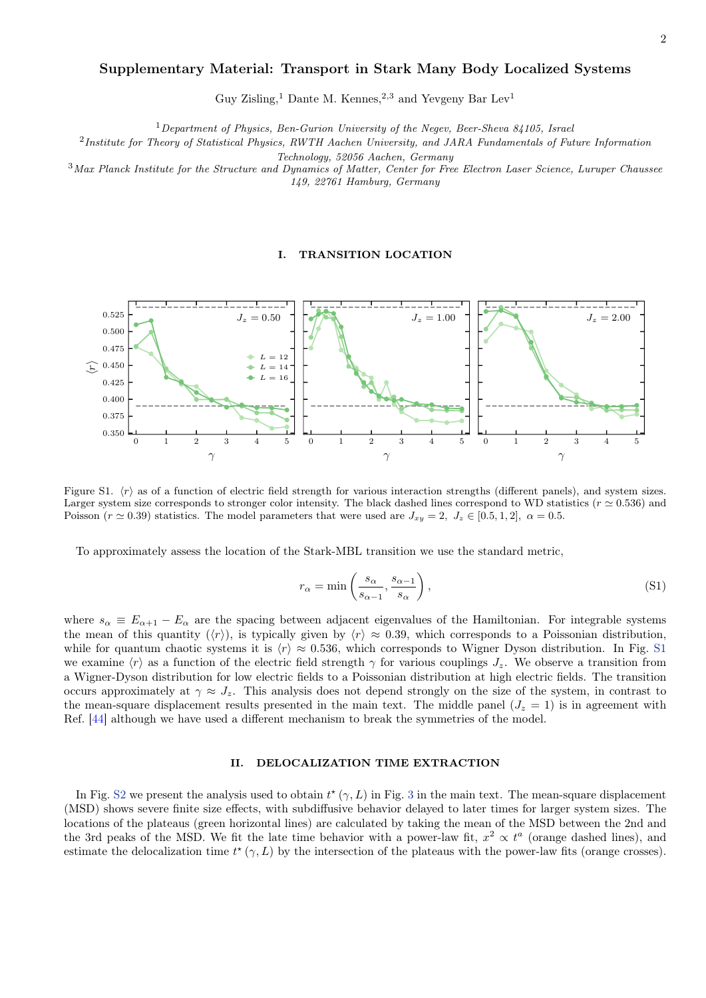### 2

# Supplementary Material: Transport in Stark Many Body Localized Systems

Guy Zisling,<sup>1</sup> Dante M. Kennes,<sup>2,3</sup> and Yevgeny Bar Lev<sup>1</sup>

 $1$ Department of Physics, Ben-Gurion University of the Negev, Beer-Sheva 84105, Israel

 $^{2}$ Institute for Theory of Statistical Physics, RWTH Aachen University, and JARA Fundamentals of Future Information

Technology, 52056 Aachen, Germany

 $3$ Max Planck Institute for the Structure and Dynamics of Matter, Center for Free Electron Laser Science, Luruper Chaussee 149, 22761 Hamburg, Germany

### I. TRANSITION LOCATION



Figure S1.  $\langle r \rangle$  as of a function of electric field strength for various interaction strengths (different panels), and system sizes. Larger system size corresponds to stronger color intensity. The black dashed lines correspond to WD statistics ( $r \approx 0.536$ ) and Poisson ( $r \approx 0.39$ ) statistics. The model parameters that were used are  $J_{xy} = 2$ ,  $J_z \in [0.5, 1, 2]$ ,  $\alpha = 0.5$ .

To approximately assess the location of the Stark-MBL transition we use the standard metric,

$$
r_{\alpha} = \min\left(\frac{s_{\alpha}}{s_{\alpha-1}}, \frac{s_{\alpha-1}}{s_{\alpha}}\right),\tag{S1}
$$

where  $s_{\alpha} \equiv E_{\alpha+1} - E_{\alpha}$  are the spacing between adjacent eigenvalues of the Hamiltonian. For integrable systems the mean of this quantity  $(\langle r \rangle)$ , is typically given by  $\langle r \rangle \approx 0.39$ , which corresponds to a Poissonian distribution, while for quantum chaotic systems it is  $\langle r \rangle \approx 0.536$ , which corresponds to Wigner Dyson distribution. In Fig. [S1](#page--1-0) we examine  $\langle r \rangle$  as a function of the electric field strength  $\gamma$  for various couplings  $J_z$ . We observe a transition from a Wigner-Dyson distribution for low electric fields to a Poissonian distribution at high electric fields. The transition occurs approximately at  $\gamma \approx J_z$ . This analysis does not depend strongly on the size of the system, in contrast to the mean-square displacement results presented in the main text. The middle panel  $(J_z = 1)$  is in agreement with Ref. [\[44\]](#page-7-0) although we have used a different mechanism to break the symmetries of the model.

## II. DELOCALIZATION TIME EXTRACTION

In Fig. [S2](#page--1-1) we present the analysis used to obtain  $t^*(\gamma, L)$  in Fig. [3](#page--1-2) in the main text. The mean-square displacement (MSD) shows severe finite size effects, with subdiffusive behavior delayed to later times for larger system sizes. The locations of the plateaus (green horizontal lines) are calculated by taking the mean of the MSD between the 2nd and the 3rd peaks of the MSD. We fit the late time behavior with a power-law fit,  $x^2 \propto t^a$  (orange dashed lines), and estimate the delocalization time  $t^*(\gamma, L)$  by the intersection of the plateaus with the power-law fits (orange crosses).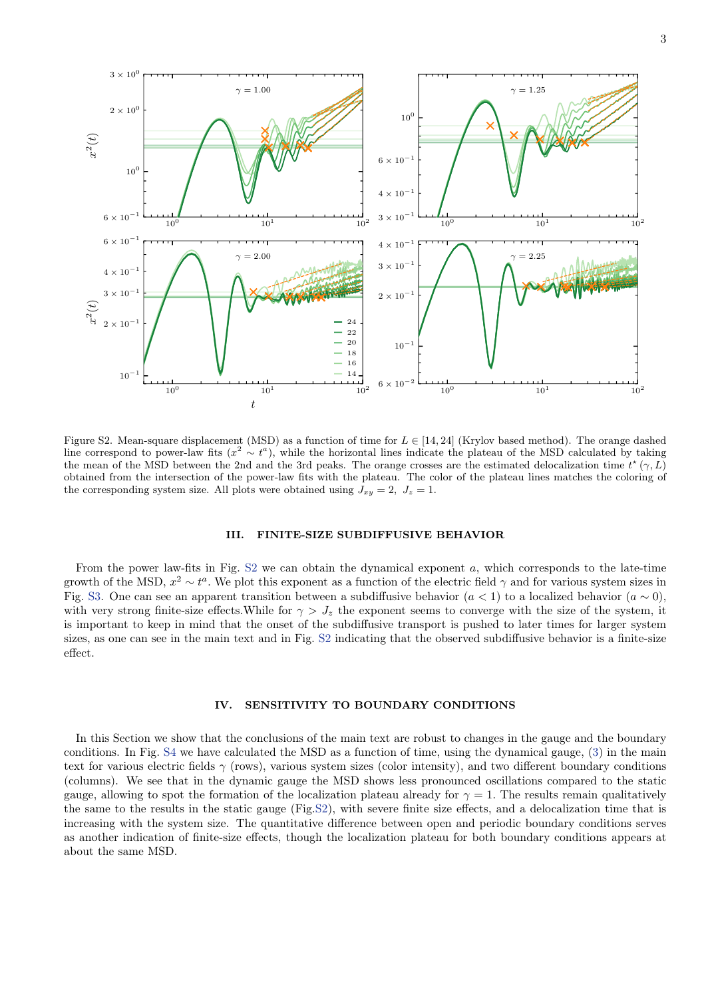

Figure S2. Mean-square displacement (MSD) as a function of time for  $L \in [14, 24]$  (Krylov based method). The orange dashed line correspond to power-law fits  $(x^2 \sim t^a)$ , while the horizontal lines indicate the plateau of the MSD calculated by taking the mean of the MSD between the 2nd and the 3rd peaks. The orange crosses are the estimated delocalization time  $t^*(\gamma, L)$ obtained from the intersection of the power-law fits with the plateau. The color of the plateau lines matches the coloring of the corresponding system size. All plots were obtained using  $J_{xy} = 2$ ,  $J_z = 1$ .

#### III. FINITE-SIZE SUBDIFFUSIVE BEHAVIOR

From the power law-fits in Fig.  $S2$  we can obtain the dynamical exponent a, which corresponds to the late-time growth of the MSD,  $x^2 \sim t^a$ . We plot this exponent as a function of the electric field  $\gamma$  and for various system sizes in Fig. [S3.](#page--1-2) One can see an apparent transition between a subdiffusive behavior  $(a < 1)$  to a localized behavior  $(a \sim 0)$ , with very strong finite-size effects. While for  $\gamma > J_z$  the exponent seems to converge with the size of the system, it is important to keep in mind that the onset of the subdiffusive transport is pushed to later times for larger system sizes, as one can see in the main text and in Fig. [S2](#page--1-1) indicating that the observed subdiffusive behavior is a finite-size effect.

### IV. SENSITIVITY TO BOUNDARY CONDITIONS

In this Section we show that the conclusions of the main text are robust to changes in the gauge and the boundary conditions. In Fig. [S4](#page--1-3) we have calculated the MSD as a function of time, using the dynamical gauge, [\(3\)](#page--1-4) in the main text for various electric fields  $\gamma$  (rows), various system sizes (color intensity), and two different boundary conditions (columns). We see that in the dynamic gauge the MSD shows less pronounced oscillations compared to the static gauge, allowing to spot the formation of the localization plateau already for  $\gamma = 1$ . The results remain qualitatively the same to the results in the static gauge (Fig[.S2\)](#page--1-1), with severe finite size effects, and a delocalization time that is increasing with the system size. The quantitative difference between open and periodic boundary conditions serves as another indication of finite-size effects, though the localization plateau for both boundary conditions appears at about the same MSD.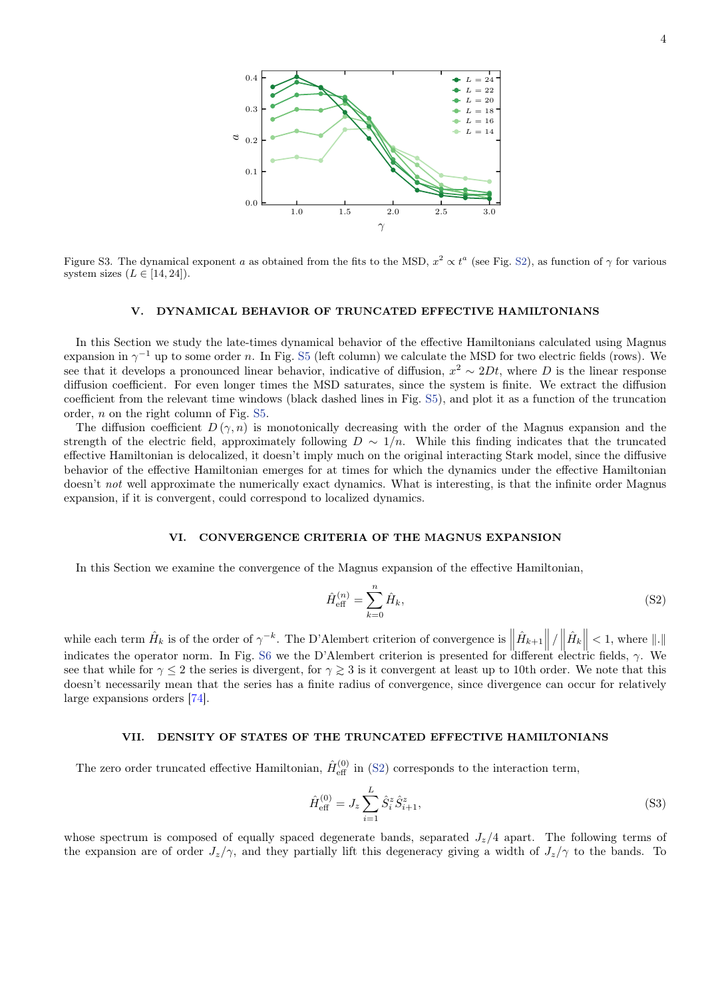

Figure S3. The dynamical exponent a as obtained from the fits to the MSD,  $x^2 \propto t^a$  (see Fig. [S2\)](#page--1-1), as function of  $\gamma$  for various system sizes  $(L \in [14, 24]).$ 

### V. DYNAMICAL BEHAVIOR OF TRUNCATED EFFECTIVE HAMILTONIANS

In this Section we study the late-times dynamical behavior of the effective Hamiltonians calculated using Magnus expansion in  $\gamma^{-1}$  up to some order n. In Fig. [S5](#page-4-0) (left column) we calculate the MSD for two electric fields (rows). We see that it develops a pronounced linear behavior, indicative of diffusion,  $x^2 \sim 2Dt$ , where D is the linear response diffusion coefficient. For even longer times the MSD saturates, since the system is finite. We extract the diffusion coefficient from the relevant time windows (black dashed lines in Fig. [S5\)](#page-4-0), and plot it as a function of the truncation order, n on the right column of Fig. [S5.](#page-4-0)

The diffusion coefficient  $D(\gamma, n)$  is monotonically decreasing with the order of the Magnus expansion and the strength of the electric field, approximately following  $D \sim 1/n$ . While this finding indicates that the truncated effective Hamiltonian is delocalized, it doesn't imply much on the original interacting Stark model, since the diffusive behavior of the effective Hamiltonian emerges for at times for which the dynamics under the effective Hamiltonian doesn't not well approximate the numerically exact dynamics. What is interesting, is that the infinite order Magnus expansion, if it is convergent, could correspond to localized dynamics.

## VI. CONVERGENCE CRITERIA OF THE MAGNUS EXPANSION

In this Section we examine the convergence of the Magnus expansion of the effective Hamiltonian,

<span id="page-2-0"></span>
$$
\hat{H}_{\text{eff}}^{(n)} = \sum_{k=0}^{n} \hat{H}_k,\tag{S2}
$$

while each term  $\hat{H}_k$  is of the order of  $\gamma^{-k}$ . The D'Alembert criterion of convergence is  $\left\| \hat{H}_{k+1} \right\| / \left\| \hat{H}_k \right\| < 1$ , where  $\|.\|$ indicates the operator norm. In Fig. [S6](#page-4-1) we the D'Alembert criterion is presented for different electric fields,  $\gamma$ . We see that while for  $\gamma < 2$  the series is divergent, for  $\gamma \geq 3$  is it convergent at least up to 10th order. We note that this doesn't necessarily mean that the series has a finite radius of convergence, since divergence can occur for relatively large expansions orders [\[74\]](#page-8-0).

### VII. DENSITY OF STATES OF THE TRUNCATED EFFECTIVE HAMILTONIANS

The zero order truncated effective Hamiltonian,  $\hat{H}_{\text{eff}}^{(0)}$  in [\(S2\)](#page-2-0) corresponds to the interaction term,

$$
\hat{H}_{\text{eff}}^{(0)} = J_z \sum_{i=1}^{L} \hat{S}_i^z \hat{S}_{i+1}^z,\tag{S3}
$$

whose spectrum is composed of equally spaced degenerate bands, separated  $J_z/4$  apart. The following terms of the expansion are of order  $J_z/\gamma$ , and they partially lift this degeneracy giving a width of  $J_z/\gamma$  to the bands. To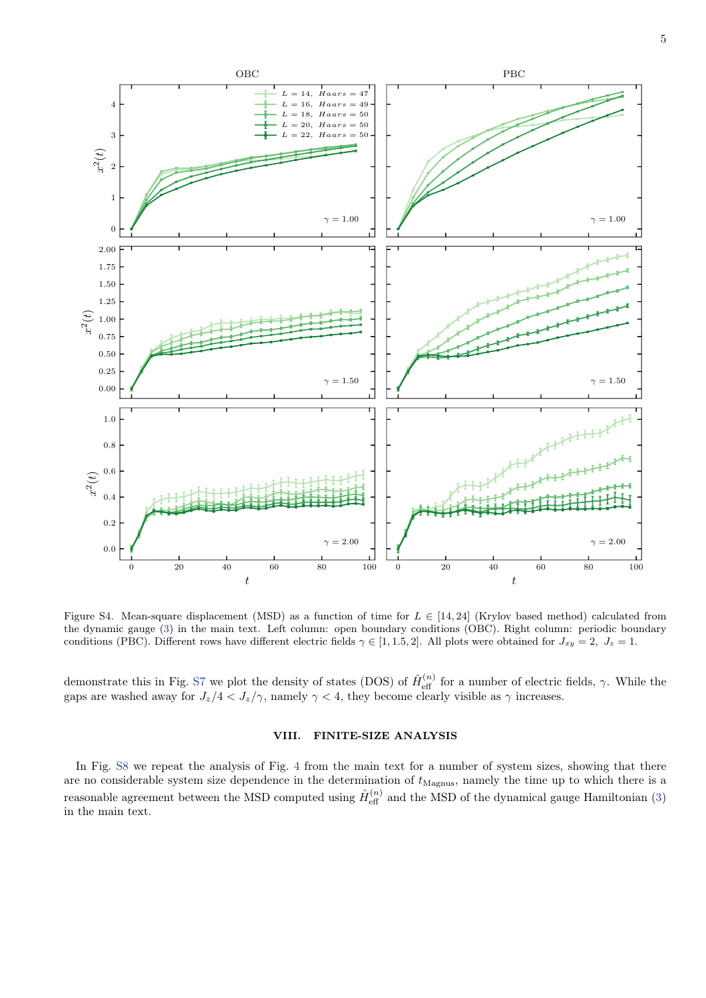

Figure S4. Mean-square displacement (MSD) as a function of time for  $L \in [14, 24]$  (Krylov based method) calculated from the dynamic gauge [\(3\)](#page--1-4) in the main text. Left column: open boundary conditions (OBC). Right column: periodic boundary conditions (PBC). Different rows have different electric fields  $\gamma \in [1, 1.5, 2]$ . All plots were obtained for  $J_{xy} = 2$ ,  $J_z = 1$ .

demonstrate this in Fig. [S7](#page-5-0) we plot the density of states (DOS) of  $\hat{H}_{\text{eff}}^{(n)}$  for a number of electric fields,  $\gamma$ . While the gaps are washed away for  $J_z/4 < J_z/\gamma$ , namely  $\gamma < 4$ , they become clearly visible as  $\gamma$  increases.

# VIII. FINITE-SIZE ANALYSIS

In Fig. [S8](#page-5-1) we repeat the analysis of Fig. [4](#page--1-3) from the main text for a number of system sizes, showing that there are no considerable system size dependence in the determination of  $t_{\text{Magnus}}$ , namely the time up to which there is a reasonable agreement between the MSD computed using  $\hat{H}_{\text{eff}}^{(n)}$  and the MSD of the dynamical gauge Hamiltonian [\(3\)](#page--1-4) in the main text.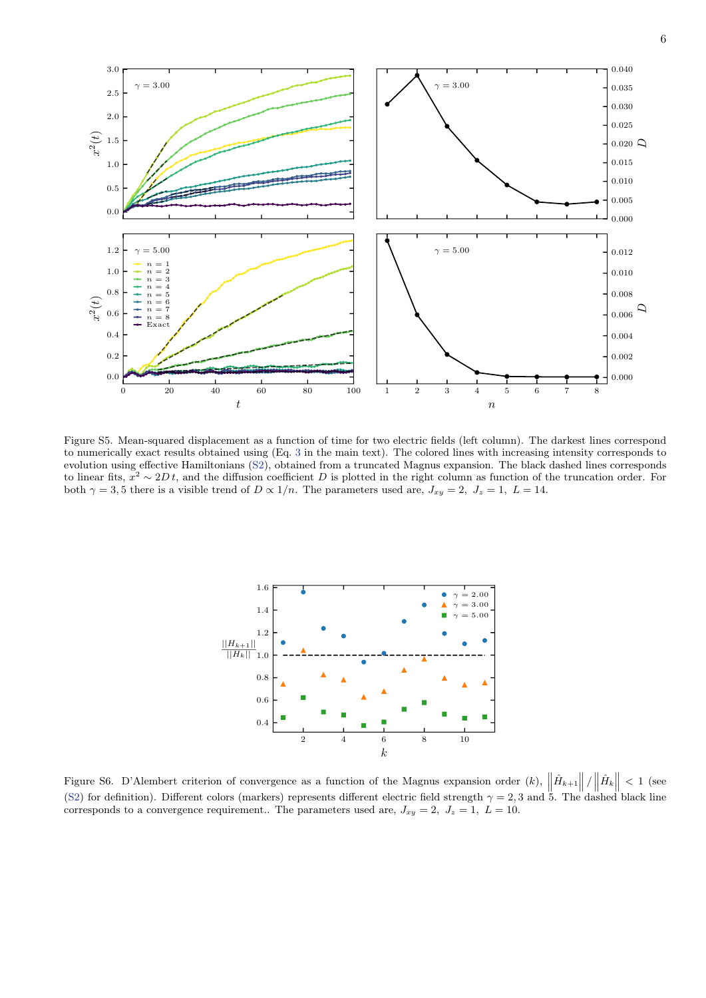

<span id="page-4-0"></span>Figure S5. Mean-squared displacement as a function of time for two electric fields (left column). The darkest lines correspond to numerically exact results obtained using (Eq. [3](#page--1-4) in the main text). The colored lines with increasing intensity corresponds to evolution using effective Hamiltonians [\(S2\)](#page-2-0), obtained from a truncated Magnus expansion. The black dashed lines corresponds to linear fits,  $x^2 \sim 2Dt$ , and the diffusion coefficient D is plotted in the right column as function of the truncation order. For both  $\gamma = 3, 5$  there is a visible trend of  $D \propto 1/n$ . The parameters used are,  $J_{xy} = 2$ ,  $J_z = 1$ ,  $L = 14$ .



<span id="page-4-1"></span>Figure S6. D'Alembert criterion of convergence as a function of the Magnus expansion order  $(k)$ ,  $\left\| \hat{H}_{k+1} \right\| / \left\| \hat{H}_{k} \right\| < 1$  (see [\(S2\)](#page-2-0) for definition). Different colors (markers) represents different electric field strength  $\gamma = 2, 3$  and 5. The dashed black line corresponds to a convergence requirement.. The parameters used are,  $J_{xy} = 2$ ,  $J_z = 1$ ,  $L = 10$ .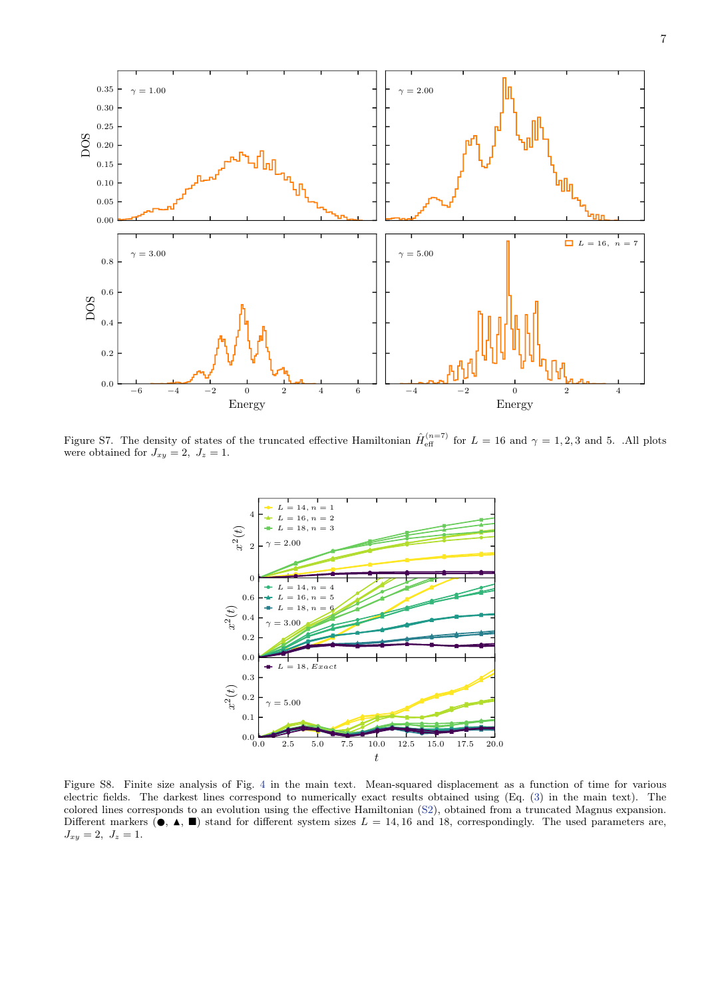

<span id="page-5-0"></span>Figure S7. The density of states of the truncated effective Hamiltonian  $\hat{H}_{\text{eff}}^{(n=7)}$  for  $L = 16$  and  $\gamma = 1, 2, 3$  and 5. .All plots were obtained for  $J_{xy} = 2$ ,  $J_z = 1$ .



<span id="page-5-1"></span>Figure S8. Finite size analysis of Fig. [4](#page--1-3) in the main text. Mean-squared displacement as a function of time for various electric fields. The darkest lines correspond to numerically exact results obtained using (Eq. [\(3\)](#page--1-4) in the main text). The colored lines corresponds to an evolution using the effective Hamiltonian [\(S2\)](#page-2-0), obtained from a truncated Magnus expansion. Different markers  $(\bullet, \blacktriangle, \blacksquare)$  stand for different system sizes  $L = 14, 16$  and 18, correspondingly. The used parameters are,  $J_{xy} = 2, J_z = 1.$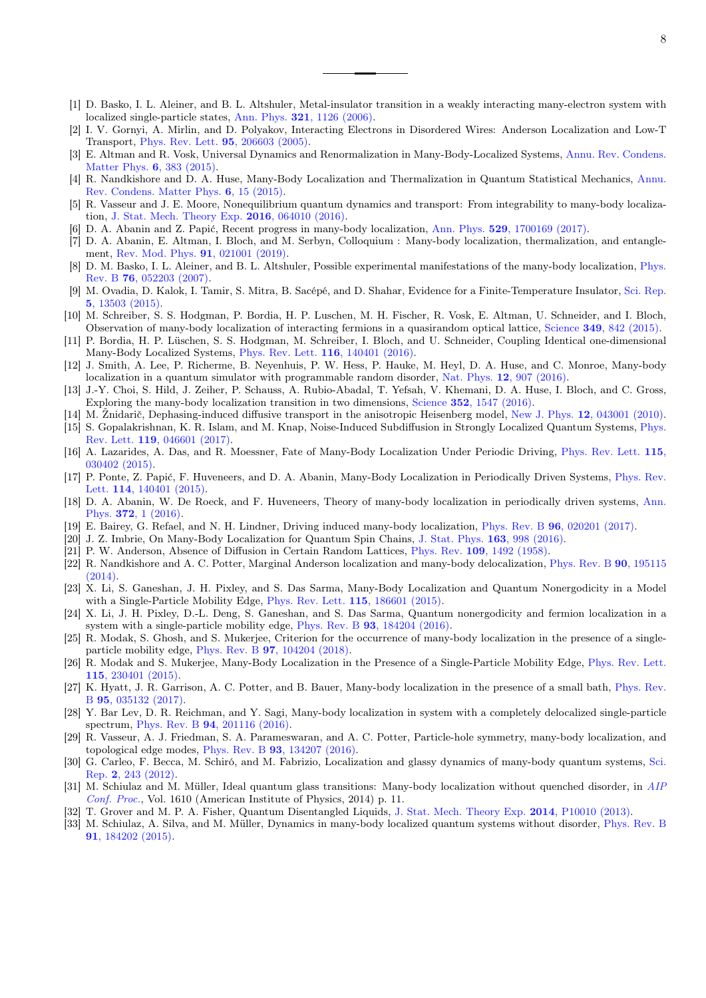- [1] D. Basko, I. L. Aleiner, and B. L. Altshuler, Metal-insulator transition in a weakly interacting many-electron system with localized single-particle states, Ann. Phys. 321[, 1126 \(2006\).](https://doi.org/10.1016/j.aop.2005.11.014)
- [2] I. V. Gornyi, A. Mirlin, and D. Polyakov, Interacting Electrons in Disordered Wires: Anderson Localization and Low-T Transport, [Phys. Rev. Lett.](https://doi.org/10.1103/PhysRevLett.95.206603) 95, 206603 (2005).
- [3] E. Altman and R. Vosk, Universal Dynamics and Renormalization in Many-Body-Localized Systems, [Annu. Rev. Condens.](https://doi.org/10.1146/annurev-conmatphys-031214-014701) [Matter Phys.](https://doi.org/10.1146/annurev-conmatphys-031214-014701) 6, 383 (2015).
- [4] R. Nandkishore and D. A. Huse, Many-Body Localization and Thermalization in Quantum Statistical Mechanics, [Annu.](https://doi.org/10.1146/annurev-conmatphys-031214-014726) [Rev. Condens. Matter Phys.](https://doi.org/10.1146/annurev-conmatphys-031214-014726) 6, 15 (2015).
- [5] R. Vasseur and J. E. Moore, Nonequilibrium quantum dynamics and transport: From integrability to many-body localization, [J. Stat. Mech. Theory Exp.](https://doi.org/10.1088/1742-5468/2016/06/064010) 2016, 064010 (2016).
- [6] D. A. Abanin and Z. Papić, Recent progress in many-body localization, Ann. Phys. 529[, 1700169 \(2017\).](https://doi.org/10.1002/andp.201700169)
- [7] D. A. Abanin, E. Altman, I. Bloch, and M. Serbyn, Colloquium : Many-body localization, thermalization, and entanglement, [Rev. Mod. Phys.](https://doi.org/10.1103/RevModPhys.91.021001) 91, 021001 (2019).
- [8] D. M. Basko, I. L. Aleiner, and B. L. Altshuler, Possible experimental manifestations of the many-body localization, [Phys.](https://doi.org/10.1103/PhysRevB.76.052203) Rev. B 76[, 052203 \(2007\).](https://doi.org/10.1103/PhysRevB.76.052203)
- [9] M. Ovadia, D. Kalok, I. Tamir, S. Mitra, B. Sacépé, and D. Shahar, Evidence for a Finite-Temperature Insulator, [Sci. Rep.](https://doi.org/10.1038/srep13503) 5[, 13503 \(2015\).](https://doi.org/10.1038/srep13503)
- [10] M. Schreiber, S. S. Hodgman, P. Bordia, H. P. Luschen, M. H. Fischer, R. Vosk, E. Altman, U. Schneider, and I. Bloch, Observation of many-body localization of interacting fermions in a quasirandom optical lattice, Science 349[, 842 \(2015\).](https://doi.org/10.1126/science.aaa7432)
- [11] P. Bordia, H. P. Lüschen, S. S. Hodgman, M. Schreiber, I. Bloch, and U. Schneider, Coupling Identical one-dimensional Many-Body Localized Systems, [Phys. Rev. Lett.](https://doi.org/10.1103/PhysRevLett.116.140401) 116, 140401 (2016).
- [12] J. Smith, A. Lee, P. Richerme, B. Neyenhuis, P. W. Hess, P. Hauke, M. Heyl, D. A. Huse, and C. Monroe, Many-body localization in a quantum simulator with programmable random disorder, Nat. Phys. 12[, 907 \(2016\).](https://doi.org/10.1038/nphys3783)
- [13] J.-Y. Choi, S. Hild, J. Zeiher, P. Schauss, A. Rubio-Abadal, T. Yefsah, V. Khemani, D. A. Huse, I. Bloch, and C. Gross, Exploring the many-body localization transition in two dimensions, Science 352[, 1547 \(2016\).](https://doi.org/10.1126/science.aaf8834)
- [14] M. Žnidarič, Dephasing-induced diffusive transport in the anisotropic Heisenberg model, New J. Phys. 12[, 043001 \(2010\).](https://doi.org/10.1088/1367-2630/12/4/043001)
- [15] S. Gopalakrishnan, K. R. Islam, and M. Knap, Noise-Induced Subdiffusion in Strongly Localized Quantum Systems, [Phys.](https://doi.org/10.1103/PhysRevLett.119.046601) Rev. Lett. 119[, 046601 \(2017\).](https://doi.org/10.1103/PhysRevLett.119.046601)
- [16] A. Lazarides, A. Das, and R. Moessner, Fate of Many-Body Localization Under Periodic Driving, [Phys. Rev. Lett.](https://doi.org/10.1103/PhysRevLett.115.030402) 115, [030402 \(2015\).](https://doi.org/10.1103/PhysRevLett.115.030402)
- [17] P. Ponte, Z. Papić, F. Huveneers, and D. A. Abanin, Many-Body Localization in Periodically Driven Systems, [Phys. Rev.](https://doi.org/10.1103/PhysRevLett.114.140401) Lett. **114**[, 140401 \(2015\).](https://doi.org/10.1103/PhysRevLett.114.140401)
- [18] D. A. Abanin, W. De Roeck, and F. Huveneers, Theory of many-body localization in periodically driven systems, [Ann.](https://doi.org/10.1016/j.aop.2016.03.010) Phys. 372[, 1 \(2016\).](https://doi.org/10.1016/j.aop.2016.03.010)
- [19] E. Bairey, G. Refael, and N. H. Lindner, Driving induced many-body localization, Phys. Rev. B 96[, 020201 \(2017\).](https://doi.org/10.1103/PhysRevB.96.020201)
- [20] J. Z. Imbrie, On Many-Body Localization for Quantum Spin Chains, [J. Stat. Phys.](https://doi.org/10.1007/s10955-016-1508-x) 163, 998 (2016).
- [21] P. W. Anderson, Absence of Diffusion in Certain Random Lattices, Phys. Rev. 109[, 1492 \(1958\).](https://doi.org/10.1103/PhysRev.109.1492)
- [22] R. Nandkishore and A. C. Potter, Marginal Anderson localization and many-body delocalization, [Phys. Rev. B](https://doi.org/10.1103/PhysRevB.90.195115) 90, 195115 [\(2014\).](https://doi.org/10.1103/PhysRevB.90.195115)
- [23] X. Li, S. Ganeshan, J. H. Pixley, and S. Das Sarma, Many-Body Localization and Quantum Nonergodicity in a Model with a Single-Particle Mobility Edge, [Phys. Rev. Lett.](https://doi.org/10.1103/PhysRevLett.115.186601) 115, 186601 (2015).
- [24] X. Li, J. H. Pixley, D.-L. Deng, S. Ganeshan, and S. Das Sarma, Quantum nonergodicity and fermion localization in a system with a single-particle mobility edge, Phys. Rev. B 93[, 184204 \(2016\).](https://doi.org/10.1103/PhysRevB.93.184204)
- [25] R. Modak, S. Ghosh, and S. Mukerjee, Criterion for the occurrence of many-body localization in the presence of a singleparticle mobility edge, Phys. Rev. B 97[, 104204 \(2018\).](https://doi.org/10.1103/PhysRevB.97.104204)
- [26] R. Modak and S. Mukerjee, Many-Body Localization in the Presence of a Single-Particle Mobility Edge, [Phys. Rev. Lett.](https://doi.org/10.1103/PhysRevLett.115.230401) 115[, 230401 \(2015\).](https://doi.org/10.1103/PhysRevLett.115.230401)
- [27] K. Hyatt, J. R. Garrison, A. C. Potter, and B. Bauer, Many-body localization in the presence of a small bath, [Phys. Rev.](https://doi.org/10.1103/PhysRevB.95.035132) B 95[, 035132 \(2017\).](https://doi.org/10.1103/PhysRevB.95.035132)
- [28] Y. Bar Lev, D. R. Reichman, and Y. Sagi, Many-body localization in system with a completely delocalized single-particle spectrum, Phys. Rev. B 94[, 201116 \(2016\).](https://doi.org/10.1103/PhysRevB.94.201116)
- [29] R. Vasseur, A. J. Friedman, S. A. Parameswaran, and A. C. Potter, Particle-hole symmetry, many-body localization, and topological edge modes, Phys. Rev. B 93[, 134207 \(2016\).](https://doi.org/10.1103/PhysRevB.93.134207)
- [30] G. Carleo, F. Becca, M. Schiró, and M. Fabrizio, Localization and glassy dynamics of many-body quantum systems, [Sci.](https://doi.org/10.1038/srep00243) Rep. 2[, 243 \(2012\).](https://doi.org/10.1038/srep00243)
- [31] M. Schiulaz and M. Müller, Ideal quantum glass transitions: Many-body localization without quenched disorder, in [AIP](https://doi.org/10.1063/1.4893505) [Conf. Proc.](https://doi.org/10.1063/1.4893505), Vol. 1610 (American Institute of Physics, 2014) p. 11.
- [32] T. Grover and M. P. A. Fisher, Quantum Disentangled Liquids, [J. Stat. Mech. Theory Exp.](https://doi.org/10.1088/1742-5468/2014/10/P10010) 2014, P10010 (2013).
- [33] M. Schiulaz, A. Silva, and M. Müller, Dynamics in many-body localized quantum systems without disorder, [Phys. Rev. B](https://doi.org/10.1103/PhysRevB.91.184202) 91[, 184202 \(2015\).](https://doi.org/10.1103/PhysRevB.91.184202)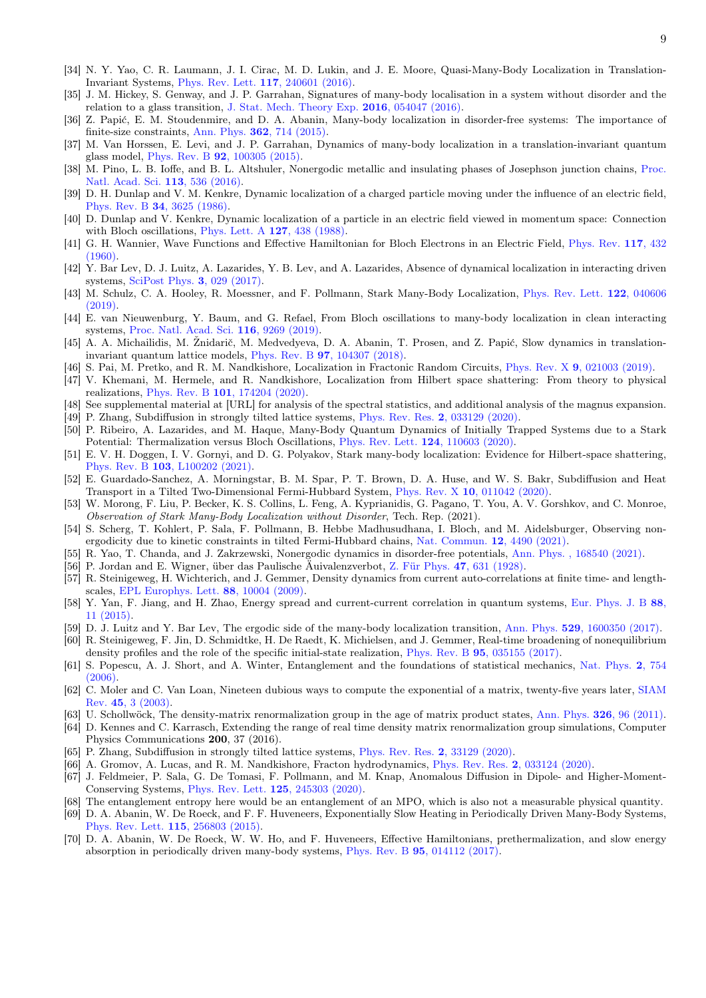- [34] N. Y. Yao, C. R. Laumann, J. I. Cirac, M. D. Lukin, and J. E. Moore, Quasi-Many-Body Localization in Translation-Invariant Systems, [Phys. Rev. Lett.](https://doi.org/10.1103/PhysRevLett.117.240601) 117, 240601 (2016).
- [35] J. M. Hickey, S. Genway, and J. P. Garrahan, Signatures of many-body localisation in a system without disorder and the relation to a glass transition, [J. Stat. Mech. Theory Exp.](https://doi.org/10.1088/1742-5468/2016/05/054047) 2016, 054047 (2016).
- [36] Z. Papić, E. M. Stoudenmire, and D. A. Abanin, Many-body localization in disorder-free systems: The importance of finite-size constraints, Ann. Phys.  $362$ ,  $714$   $(2015)$ .
- [37] M. Van Horssen, E. Levi, and J. P. Garrahan, Dynamics of many-body localization in a translation-invariant quantum glass model, Phys. Rev. B 92[, 100305 \(2015\).](https://doi.org/10.1103/PhysRevB.92.100305)
- [38] M. Pino, L. B. Ioffe, and B. L. Altshuler, Nonergodic metallic and insulating phases of Josephson junction chains, [Proc.](https://doi.org/10.1073/pnas.1520033113) [Natl. Acad. Sci.](https://doi.org/10.1073/pnas.1520033113) 113, 536 (2016).
- [39] D. H. Dunlap and V. M. Kenkre, Dynamic localization of a charged particle moving under the influence of an electric field, Phys. Rev. B 34[, 3625 \(1986\).](https://doi.org/10.1103/PhysRevB.34.3625)
- [40] D. Dunlap and V. Kenkre, Dynamic localization of a particle in an electric field viewed in momentum space: Connection with Bloch oscillations, [Phys. Lett. A](https://doi.org/10.1016/0375-9601(88)90213-7) 127, 438 (1988).
- [41] G. H. Wannier, Wave Functions and Effective Hamiltonian for Bloch Electrons in an Electric Field, [Phys. Rev.](https://doi.org/10.1103/PhysRev.117.432) 117, 432  $(1960)$
- [42] Y. Bar Lev, D. J. Luitz, A. Lazarides, Y. B. Lev, and A. Lazarides, Absence of dynamical localization in interacting driven systems, [SciPost Phys.](https://doi.org/10.21468/SciPostPhys.3.4.029) 3, 029 (2017).
- [43] M. Schulz, C. A. Hooley, R. Moessner, and F. Pollmann, Stark Many-Body Localization, [Phys. Rev. Lett.](https://doi.org/10.1103/PhysRevLett.122.040606) 122, 040606 [\(2019\).](https://doi.org/10.1103/PhysRevLett.122.040606)
- <span id="page-7-0"></span>[44] E. van Nieuwenburg, Y. Baum, and G. Refael, From Bloch oscillations to many-body localization in clean interacting systems, [Proc. Natl. Acad. Sci.](https://doi.org/10.1073/pnas.1819316116) 116, 9269 (2019).
- [45] A. A. Michailidis, M. Žnidarič, M. Medvedyeva, D. A. Abanin, T. Prosen, and Z. Papić, Slow dynamics in translationinvariant quantum lattice models, Phys. Rev. B 97[, 104307 \(2018\).](https://doi.org/10.1103/PhysRevB.97.104307)
- [46] S. Pai, M. Pretko, and R. M. Nandkishore, Localization in Fractonic Random Circuits, Phys. Rev. X 9[, 021003 \(2019\).](https://doi.org/10.1103/PhysRevX.9.021003)
- [47] V. Khemani, M. Hermele, and R. Nandkishore, Localization from Hilbert space shattering: From theory to physical realizations, Phys. Rev. B 101[, 174204 \(2020\).](https://doi.org/10.1103/PhysRevB.101.174204)
- See supplemental material at [URL] for analysis of the spectral statistics, and additional analysis of the magnus expansion.
- [49] P. Zhang, Subdiffusion in strongly tilted lattice systems, [Phys. Rev. Res.](https://doi.org/10.1103/PhysRevResearch.2.033129) 2, 033129 (2020).
- [50] P. Ribeiro, A. Lazarides, and M. Haque, Many-Body Quantum Dynamics of Initially Trapped Systems due to a Stark Potential: Thermalization versus Bloch Oscillations, [Phys. Rev. Lett.](https://doi.org/10.1103/PhysRevLett.124.110603) 124, 110603 (2020).
- [51] E. V. H. Doggen, I. V. Gornyi, and D. G. Polyakov, Stark many-body localization: Evidence for Hilbert-space shattering, Phys. Rev. B 103[, L100202 \(2021\).](https://doi.org/10.1103/PhysRevB.103.L100202)
- [52] E. Guardado-Sanchez, A. Morningstar, B. M. Spar, P. T. Brown, D. A. Huse, and W. S. Bakr, Subdiffusion and Heat Transport in a Tilted Two-Dimensional Fermi-Hubbard System, Phys. Rev. X 10[, 011042 \(2020\).](https://doi.org/10.1103/PhysRevX.10.011042)
- [53] W. Morong, F. Liu, P. Becker, K. S. Collins, L. Feng, A. Kyprianidis, G. Pagano, T. You, A. V. Gorshkov, and C. Monroe, Observation of Stark Many-Body Localization without Disorder, Tech. Rep. (2021).
- [54] S. Scherg, T. Kohlert, P. Sala, F. Pollmann, B. Hebbe Madhusudhana, I. Bloch, and M. Aidelsburger, Observing nonergodicity due to kinetic constraints in tilted Fermi-Hubbard chains, [Nat. Commun.](https://doi.org/10.1038/s41467-021-24726-0) 12, 4490 (2021).
- [55] R. Yao, T. Chanda, and J. Zakrzewski, Nonergodic dynamics in disorder-free potentials, [Ann. Phys. , 168540 \(2021\).](https://doi.org/10.1016/j.aop.2021.168540)
- [56] P. Jordan and E. Wigner, über das Paulische Äuivalenzverbot, [Z. Für Phys.](https://doi.org/10.1007/BF01331938) 47, 631 (1928).
- [57] R. Steinigeweg, H. Wichterich, and J. Gemmer, Density dynamics from current auto-correlations at finite time- and lengthscales, [EPL Europhys. Lett.](https://doi.org/10.1209/0295-5075/88/10004) 88, 10004 (2009).
- [58] Y. Yan, F. Jiang, and H. Zhao, Energy spread and current-current correlation in quantum systems, [Eur. Phys. J. B](https://doi.org/10.1140/epjb/e2014-50797-4) 88, [11 \(2015\).](https://doi.org/10.1140/epjb/e2014-50797-4)
- [59] D. J. Luitz and Y. Bar Lev, The ergodic side of the many-body localization transition, Ann. Phys. 529[, 1600350 \(2017\).](https://doi.org/10.1002/andp.201600350)
- [60] R. Steinigeweg, F. Jin, D. Schmidtke, H. De Raedt, K. Michielsen, and J. Gemmer, Real-time broadening of nonequilibrium density profiles and the role of the specific initial-state realization, Phys. Rev. B 95[, 035155 \(2017\).](https://doi.org/10.1103/PhysRevB.95.035155)
- [61] S. Popescu, A. J. Short, and A. Winter, Entanglement and the foundations of statistical mechanics, [Nat. Phys.](https://doi.org/10.1038/nphys444) 2, 754 [\(2006\).](https://doi.org/10.1038/nphys444)
- [62] C. Moler and C. Van Loan, Nineteen dubious ways to compute the exponential of a matrix, twenty-five years later, [SIAM](https://doi.org/10.1137/S00361445024180) Rev. 45[, 3 \(2003\).](https://doi.org/10.1137/S00361445024180)
- [63] U. Schollwöck, The density-matrix renormalization group in the age of matrix product states, [Ann. Phys.](https://doi.org/10.1016/j.aop.2010.09.012) 326, 96 (2011).
- [64] D. Kennes and C. Karrasch, Extending the range of real time density matrix renormalization group simulations, Computer Physics Communications 200, 37 (2016).
- [65] P. Zhang, Subdiffusion in strongly tilted lattice systems, [Phys. Rev. Res.](https://doi.org/10.1103/physrevresearch.2.033129) 2, 33129 (2020).
- [66] A. Gromov, A. Lucas, and R. M. Nandkishore, Fracton hydrodynamics, [Phys. Rev. Res.](https://doi.org/10.1103/PhysRevResearch.2.033124) 2, 033124 (2020).
- [67] J. Feldmeier, P. Sala, G. De Tomasi, F. Pollmann, and M. Knap, Anomalous Diffusion in Dipole- and Higher-Moment-Conserving Systems, [Phys. Rev. Lett.](https://doi.org/10.1103/PhysRevLett.125.245303) 125, 245303 (2020).
- [68] The entanglement entropy here would be an entanglement of an MPO, which is also not a measurable physical quantity.
- [69] D. A. Abanin, W. De Roeck, and F. F. Huveneers, Exponentially Slow Heating in Periodically Driven Many-Body Systems, [Phys. Rev. Lett.](https://doi.org/10.1103/PhysRevLett.115.256803) 115, 256803 (2015).
- [70] D. A. Abanin, W. De Roeck, W. W. Ho, and F. Huveneers, Effective Hamiltonians, prethermalization, and slow energy absorption in periodically driven many-body systems, Phys. Rev. B 95[, 014112 \(2017\).](https://doi.org/10.1103/PhysRevB.95.014112)